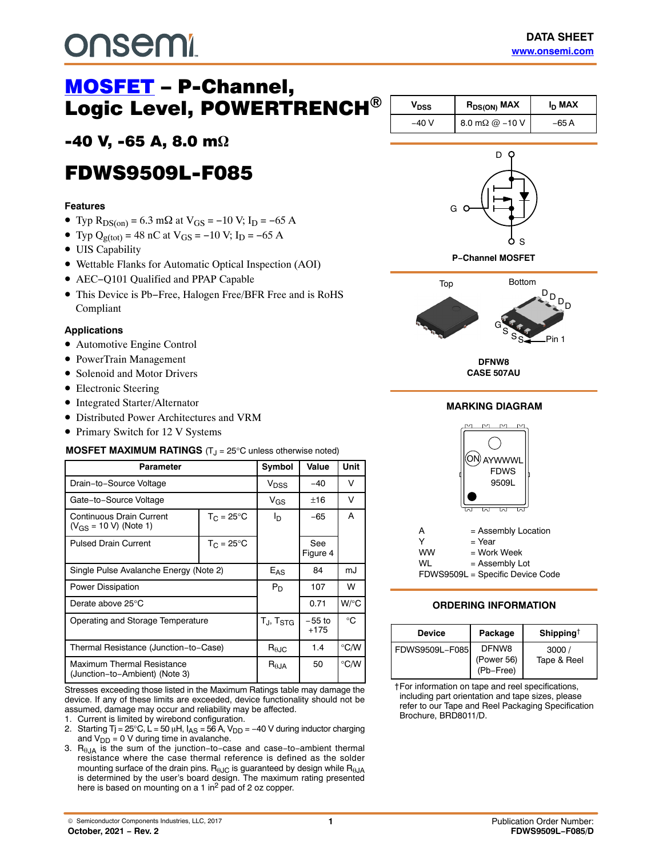# <u>MOSFET</u><br>Logic Level, POWERTRENCH®

# -40 V, -65 A, 8.0 m**-**

## **FDWS9509L-F085** FDWS9509L-F085

#### **Features**

- Typ R<sub>DS(on)</sub> = 6.3 m $\Omega$  at V<sub>GS</sub> = -10 V; I<sub>D</sub> = -65 A
- Typ Q<sub>g(tot)</sub> = 48 nC at V<sub>GS</sub> = -10 V; I<sub>D</sub> = -65 A
- UIS Capability
- Wettable Flanks for Automatic Optical Inspection (AOI)
- AEC−Q101 Qualified and PPAP Capable
- This Device is Pb−Free, Halogen Free/BFR Free and is RoHS Compliant

#### **Applications**

- Automotive Engine Control
- PowerTrain Management
- Solenoid and Motor Drivers
- Electronic Steering
- Integrated Starter/Alternator
- Distributed Power Architectures and VRM
- Primary Switch for 12 V Systems

#### **MOSFET MAXIMUM RATINGS** (T<sub>J</sub> = 25°C unless otherwise noted)

| Parameter                                                    |                     |                             |                    | <b>Unit</b>   |
|--------------------------------------------------------------|---------------------|-----------------------------|--------------------|---------------|
| Drain-to-Source Voltage                                      |                     | V <sub>DSS</sub>            | $-40$              | v             |
| Gate-to-Source Voltage                                       |                     | $V_{GS}$                    | ±16                | v             |
| Continuous Drain Current<br>$(V_{GS} = 10 V)$ (Note 1)       | $T_C = 25^{\circ}C$ | I <sub>D</sub>              | $-65$              | A             |
| <b>Pulsed Drain Current</b>                                  | $T_C = 25^{\circ}C$ |                             | See<br>Figure 4    |               |
| Single Pulse Avalanche Energy (Note 2)                       |                     | $E_{AS}$                    | 84                 | mJ            |
| <b>Power Dissipation</b>                                     |                     | $P_D$                       | 107                | W             |
| Derate above 25°C                                            |                     |                             | 0.71               | W/°C          |
| Operating and Storage Temperature                            |                     | $T_{\rm J}$ , $T_{\rm STG}$ | $-55$ to<br>$+175$ | °C            |
| Thermal Resistance (Junction-to-Case)                        |                     | $R_{\theta \text{JC}}$      | 1.4                | $\degree$ C/W |
| Maximum Thermal Resistance<br>(Junction-to-Ambient) (Note 3) |                     | $R_{\theta$ JA              | 50                 | °C/W          |

Stresses exceeding those listed in the Maximum Ratings table may damage the device. If any of these limits are exceeded, device functionality should not be assumed, damage may occur and reliability may be affected.

1. Current is limited by wirebond configuration.

- 2. Starting Tj = 25°C, L = 50 µH,  $I_{AS}$  = 56 A, V<sub>DD</sub> = -40 V during inductor charging and  $V_{DD} = 0$  V during time in avalanche.
- 3. R $_{\theta$ JA is the sum of the junction-to-case and case-to-ambient thermal resistance where the case thermal reference is defined as the solder mounting surface of the drain pins.  $R_{\theta JC}$  is guaranteed by design while  $R_{\theta JA}$ is determined by the user's board design. The maximum rating presented here is based on mounting on a 1 in<sup>2</sup> pad of 2 oz copper.

| Vnss  | I <sub>D</sub> MAX<br>$R_{DS(ON)}$ MAX |       |
|-------|----------------------------------------|-------|
| –40 V | 8.0 m $\Omega$ @ -10 V                 | –65 A |







**CASE 507AU**

#### **MARKING DIAGRAM**



#### **ORDERING INFORMATION**

| Device          | Package                                 | Shipping <sup>†</sup> |
|-----------------|-----------------------------------------|-----------------------|
| FDWS9509L-F085I | <b>DENW8</b><br>(Power 56)<br>(Pb-Free) | 3000/<br>Tape & Reel  |

†For information on tape and reel specifications, including part orientation and tape sizes, please refer to our Tape and Reel Packaging Specification Brochure, BRD8011/D.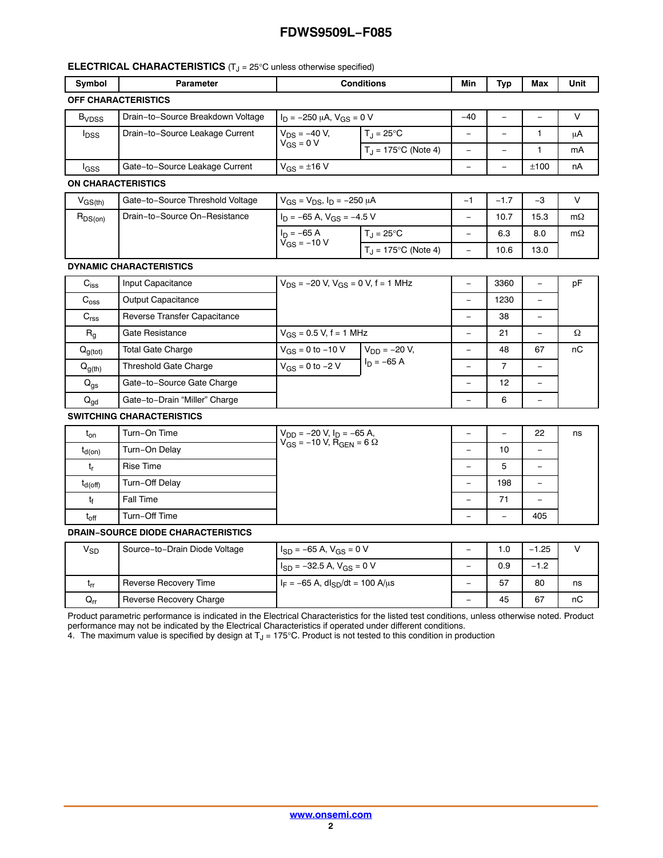#### **ELECTRICAL CHARACTERISTICS** (T<sub>J</sub> = 25°C unless otherwise specified)

| Symbol                     | Parameter                         | <b>Conditions</b>                   |                              | Min   | Typ | Max  | Unit |
|----------------------------|-----------------------------------|-------------------------------------|------------------------------|-------|-----|------|------|
| <b>OFF CHARACTERISTICS</b> |                                   |                                     |                              |       |     |      |      |
| <b>B</b> <sub>VDSS</sub>   | Drain-to-Source Breakdown Voltage | $I_D = -250 \mu A$ , $V_{GS} = 0 V$ |                              | $-40$ |     |      |      |
| <b>I</b> <sub>DSS</sub>    | Drain-to-Source Leakage Current   | $V_{DS} = -40 V,$<br>$V_{GS} = 0 V$ | $T_{\rm J} = 25^{\circ}C$    | -     |     |      | μA   |
|                            |                                   |                                     | $T_{\rm d}$ = 175°C (Note 4) | -     |     |      | mA   |
| <sup>I</sup> GSS           | Gate-to-Source Leakage Current    | $V_{GS} = \pm 16 V$                 |                              | -     | -   | ±100 | nA   |

#### **ON CHARACTERISTICS**

| V <sub>GS(th)</sub> | Gate-to-Source Threshold Voltage | $V_{GS} = V_{DS}$ , $I_D = -250 \mu A$ |                              | - | $-1.7$ | -3   |           |
|---------------------|----------------------------------|----------------------------------------|------------------------------|---|--------|------|-----------|
| $R_{DS(on)}$        | Drain-to-Source On-Resistance    | $I_D = -65$ A, $V_{GS} = -4.5$ V       |                              |   | 10.7   | 15.3 | $m\Omega$ |
|                     |                                  | $I_D = -65 A$                          | $T_{\rm J}$ = 25°C           | - | 6.3    | 8.0  | $m\Omega$ |
|                     |                                  | $V_{GS} = -10 V$                       | $T_{\rm J}$ = 175°C (Note 4) | - | 10.6   | 13.0 |           |

#### **DYNAMIC CHARACTERISTICS**

| $C_{iss}$        | Input Capacitance             | $V_{DS}$ = -20 V, $V_{GS}$ = 0 V, f = 1 MHz |                   | 3360 | $\qquad \qquad$ | pF |
|------------------|-------------------------------|---------------------------------------------|-------------------|------|-----------------|----|
| $C_{\text{oss}}$ | Output Capacitance            |                                             |                   | 1230 | $\equiv$        |    |
| C <sub>rss</sub> | Reverse Transfer Capacitance  |                                             |                   | 38   |                 |    |
| $R_{q}$          | Gate Resistance               | $V_{GS} = 0.5 V, f = 1 MHz$                 |                   | 21   |                 | Ω  |
| $Q_{g(tot)}$     | Total Gate Charge             | $V_{GS}$ = 0 to -10 V                       | $V_{DD} = -20 V,$ | 48   | 67              | nC |
| $Q_{g(th)}$      | Threshold Gate Charge         | $V_{GS}$ = 0 to -2 V                        | $I_D = -65 A$     |      |                 |    |
| $Q_{gs}$         | Gate-to-Source Gate Charge    |                                             |                   | 12   |                 |    |
| $Q_{gd}$         | Gate-to-Drain "Miller" Charge |                                             |                   | 6    |                 |    |

#### **SWITCHING CHARACTERISTICS**

| $\mathfrak{r}_{\mathsf{on}}$ | Turn-On Time     | $V_{DD} = -20$ V, $I_D = -65$ A,<br>$V_{GS}$ = -10 V, R <sub>GEN</sub> = 6 $\Omega$ |   | -   | 22                       | ns |
|------------------------------|------------------|-------------------------------------------------------------------------------------|---|-----|--------------------------|----|
| $t_{d(on)}$                  | Turn-On Delay    |                                                                                     |   | 10  | -                        |    |
|                              | <b>Rise Time</b> |                                                                                     |   | 5   | -                        |    |
| $t_{d(off)}$                 | Turn-Off Delay   |                                                                                     |   | 198 | $\qquad \qquad$          |    |
| t٤                           | Fall Time        |                                                                                     | - | 71  | $\overline{\phantom{0}}$ |    |
| $t_{\rm off}$                | Turn-Off Time    |                                                                                     |   | -   | 405                      |    |

#### **DRAIN−SOURCE DIODE CHARACTERISTICS**

| V <sub>SD</sub>            | Source-to-Drain Diode Voltage | $I_{SD} = -65$ A, $V_{GS} = 0$ V               |   | 1.0 | $-1.25$ |    |
|----------------------------|-------------------------------|------------------------------------------------|---|-----|---------|----|
|                            |                               | $I_{SD} = -32.5$ A, $V_{GS} = 0$ V             | - | 0.9 | $-1.2$  |    |
| <b>Lrr</b>                 | Reverse Recovery Time         | $I_F = -65$ A, dl <sub>SD</sub> /dt = 100 A/µs | - | 57  | 80      | ns |
| $\mathsf{Q}_{\mathsf{rr}}$ | Reverse Recovery Charge       |                                                |   | 45  | 67      | nC |

Product parametric performance is indicated in the Electrical Characteristics for the listed test conditions, unless otherwise noted. Product performance may not be indicated by the Electrical Characteristics if operated under different conditions.

4. The maximum value is specified by design at T $_{\rm J}$  = 175°C. Product is not tested to this condition in production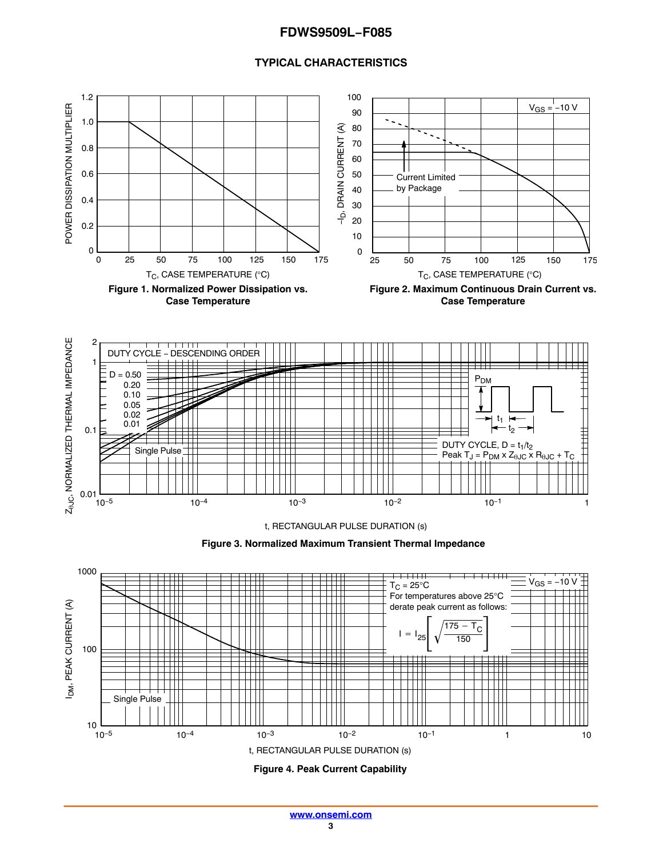#### **TYPICAL CHARACTERISTICS**

<span id="page-2-0"></span>



**Figure 4. Peak Current Capability**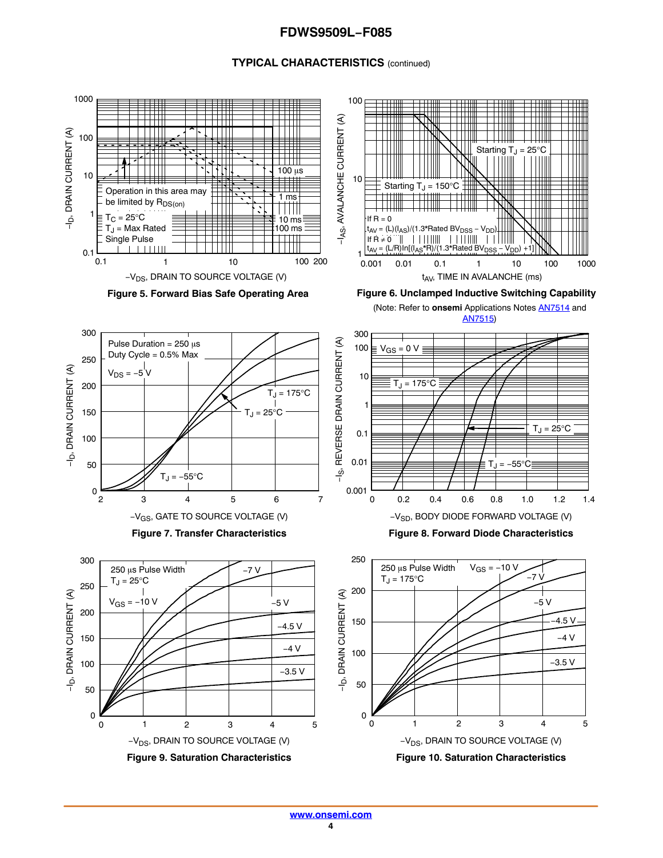#### **TYPICAL CHARACTERISTICS** (continued)

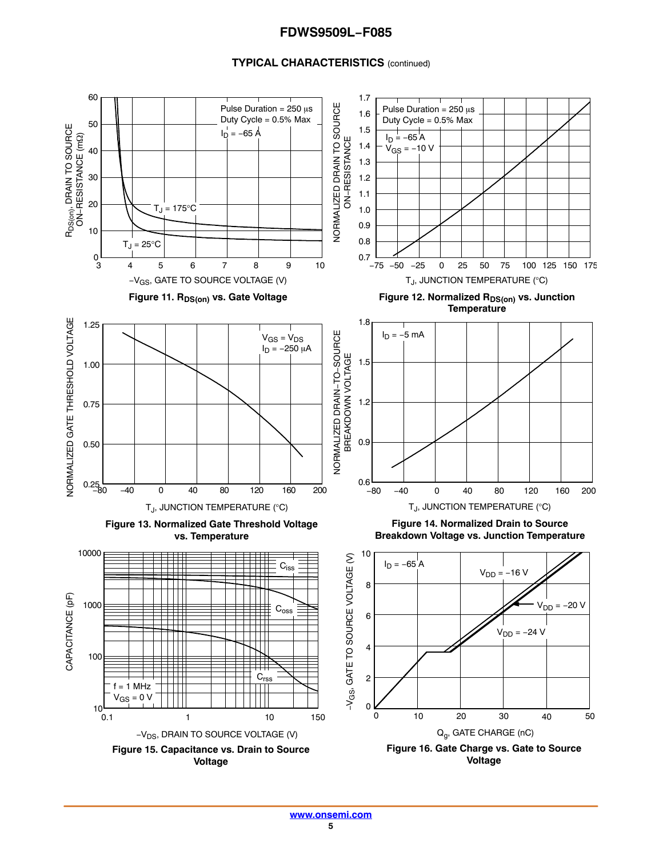#### **TYPICAL CHARACTERISTICS** (continued)

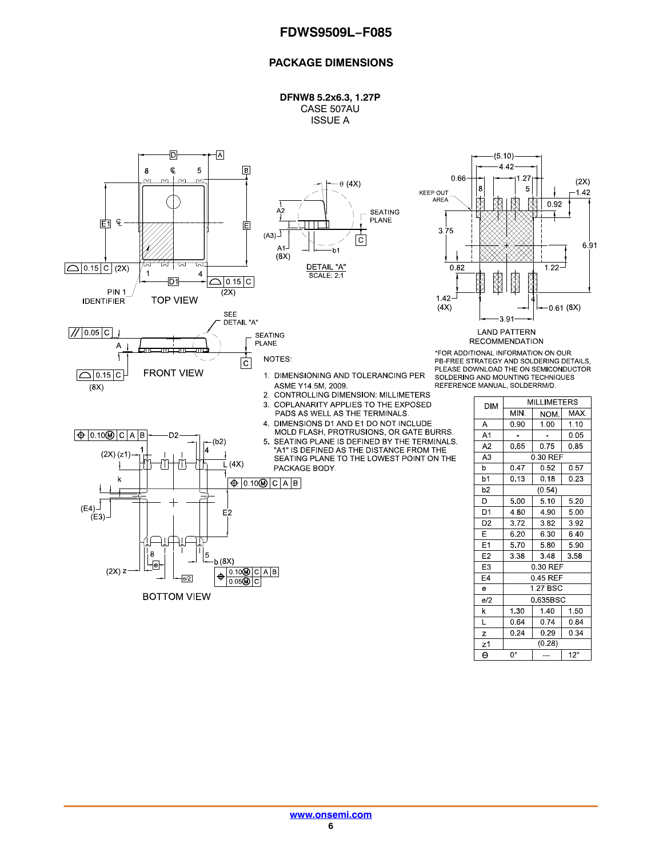#### **PACKAGE DIMENSIONS**

**DFNW8 5.2x6.3, 1.27P** CASE 507AU ISSUE A

.27

 $\mathbf 5$ 

阕

X

0.92

 $1.22 -$ 

**MILLIMETERS** 

NOM.

 $1.00$ 

 $0.75$ 

0.30 REF

0.52

 $0.18$ 

 $(0.54)$ 

 $5.10$ 

 $4.90$ 

 $3.82$ 

6.30

5.80

3.48

0.30 REF

 $0.45$  REF

1.27 BSC

0.635BSC

1.40

0.74

 $0.29$ 

 $(0.28)$ 

 $\sim$ 

MAX.

 $1.10$ 

 $0.05$ 

 $0.85$ 

 $0.57$ 

 $0.23$ 

 $5.20$ 

 $500$ 

 $3.92$ 

6.40

 $5.90$ 

 $\overline{3.58}$ 

1.50

0.84

 $0.34$ 

 $12^\circ$ 

 $-0.61(8X)$ 

 $(2X)$ 

 $-1.42$ 

6.91